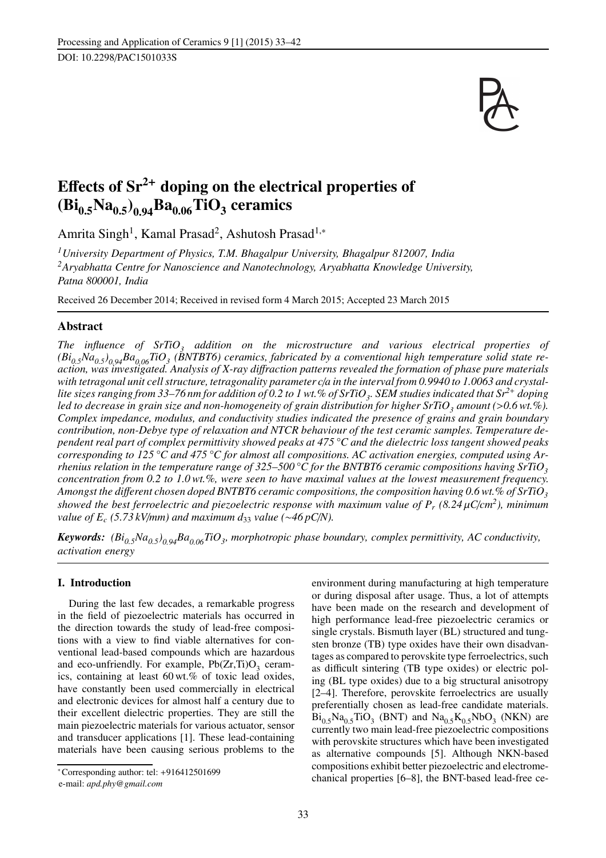

# Effects of  $Sr^{2+}$  doping on the electrical properties of  $(\mathbf{Bi}_{0.5}\mathbf{Na}_{0.5})_{0.94}\mathbf{Ba}_{0.06}\mathbf{TiO}_{3}$  ceramics

Amrita Singh<sup>1</sup>, Kamal Prasad<sup>2</sup>, Ashutosh Prasad<sup>1,</sup>\*

*<sup>1</sup>University Department of Physics, T.M. Bhagalpur University, Bhagalpur 812007, India <sup>2</sup>Aryabhatta Centre for Nanoscience and Nanotechnology, Aryabhatta Knowledge University, Patna 800001, India*

Received 26 December 2014; Received in revised form 4 March 2015; Accepted 23 March 2015

# Abstract

*The influence of SrTiO<sup>3</sup> addition on the microstructure and various electrical properties of (Bi0.5Na0.5) 0.94Ba0.06TiO<sup>3</sup> (BNTBT6) ceramics, fabricated by a conventional high temperature solid state reaction, was investigated. Analysis of X-ray di*ff*raction patterns revealed the formation of phase pure materials* with tetragonal unit cell structure, tetragonality parameter c/*a* in the interval from 0.9940 to 1.0063 and crystal*lite sizes ranging from 33–76 nm for addition of 0.2 to 1 wt.% of SrTiO<sup>3</sup> . SEM studies indicated that Sr<sup>2</sup>*<sup>+</sup> *doping led to decrease in grain size and non-homogeneity of grain distribution for higher SrTiO<sup>3</sup> amount (*>*0.6 wt.%). Complex impedance, modulus, and conductivity studies indicated the presence of grains and grain boundary contribution, non-Debye type of relaxation and NTCR behaviour of the test ceramic samples. Temperature dependent real part of complex permittivity showed peaks at 475 °C and the dielectric loss tangent showed peaks corresponding to 125 °C and 475 °C for almost all compositions. AC activation energies, computed using Arrhenius relation in the temperature range of 325–500 °C for the BNTBT6 ceramic compositions having SrTiO<sup>3</sup> concentration from 0.2 to 1.0 wt.%, were seen to have maximal values at the lowest measurement frequency. Amongst the di*ff*erent chosen doped BNTBT6 ceramic compositions, the composition having 0.6 wt.% of SrTiO<sup>3</sup> showed the best ferroelectric and piezoelectric response with maximum value of P<sup>r</sup> (8.24* µ*C*/*cm<sup>2</sup> ), minimum value of E<sub>c</sub>* (5.73 kV/*mm*) and maximum d<sub>33</sub> *value* (∼46 pC/*N*).

*Keywords: (Bi0.5Na0.5) 0.94Ba0.06TiO<sup>3</sup> , morphotropic phase boundary, complex permittivity, AC conductivity, activation energy*

# I. Introduction

During the last few decades, a remarkable progress in the field of piezoelectric materials has occurred in the direction towards the study of lead-free compositions with a view to find viable alternatives for conventional lead-based compounds which are hazardous and eco-unfriendly. For example,  $Pb(Zr,Ti)O_3$  ceramics, containing at least 60 wt.% of toxic lead oxides, have constantly been used commercially in electrical and electronic devices for almost half a century due to their excellent dielectric properties. They are still the main piezoelectric materials for various actuator, sensor and transducer applications [1]. These lead-containing materials have been causing serious problems to the environment during manufacturing at high temperature or during disposal after usage. Thus, a lot of attempts have been made on the research and development of high performance lead-free piezoelectric ceramics or single crystals. Bismuth layer (BL) structured and tungsten bronze (TB) type oxides have their own disadvantages as compared to perovskite type ferroelectrics, such as difficult sintering (TB type oxides) or electric poling (BL type oxides) due to a big structural anisotropy [2–4]. Therefore, perovskite ferroelectrics are usually preferentially chosen as lead-free candidate materials.  $Bi_{0.5}Na_{0.5}TiO_3$  (BNT) and  $Na_{0.5}K_{0.5}NbO_3$  (NKN) are currently two main lead-free piezoelectric compositions with perovskite structures which have been investigated as alternative compounds [5]. Although NKN-based compositions exhibit better piezoelectric and electromechanical properties [6–8], the BNT-based lead-free ce-

<sup>∗</sup>Corresponding author: tel: +916412501699

e-mail: *apd.phy@gmail.com*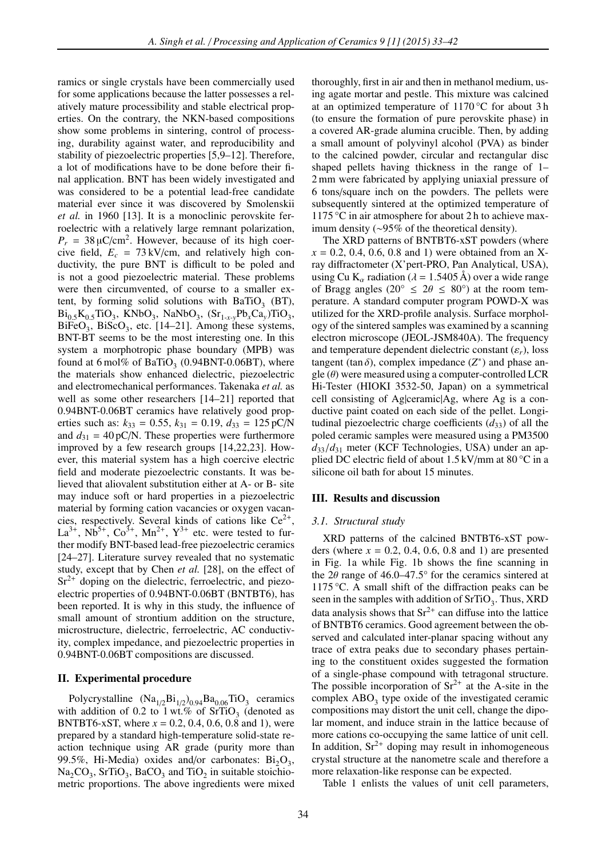ramics or single crystals have been commercially used for some applications because the latter possesses a relatively mature processibility and stable electrical properties. On the contrary, the NKN-based compositions show some problems in sintering, control of processing, durability against water, and reproducibility and stability of piezoelectric properties [5,9–12]. Therefore, a lot of modifications have to be done before their final application. BNT has been widely investigated and was considered to be a potential lead-free candidate material ever since it was discovered by Smolenskii *et al.* in 1960 [13]. It is a monoclinic perovskite ferroelectric with a relatively large remnant polarization,  $P_r = 38 \mu C/cm^2$ . However, because of its high coercive field,  $E_c = 73 \text{ kV/cm}$ , and relatively high conductivity, the pure BNT is difficult to be poled and is not a good piezoelectric material. These problems were then circumvented, of course to a smaller extent, by forming solid solutions with  $BaTiO<sub>3</sub>$  (BT),  $Bi_{0.5}K_{0.5}TiO_3$ , KNbO<sub>3</sub>, NaNbO<sub>3</sub>,  $(Sr_{1-x}Pb_xCa_y)TiO_3$ ,  $BiFeO<sub>3</sub>$ ,  $BiScO<sub>3</sub>$ , etc. [14–21]. Among these systems, BNT-BT seems to be the most interesting one. In this system a morphotropic phase boundary (MPB) was found at  $6 \text{ mol\%}$  of BaTiO<sub>3</sub> (0.94BNT-0.06BT), where the materials show enhanced dielectric, piezoelectric and electromechanical performances. Takenaka *et al.* as well as some other researchers [14–21] reported that 0.94BNT-0.06BT ceramics have relatively good properties such as:  $k_{33} = 0.55$ ,  $k_{31} = 0.19$ ,  $d_{33} = 125$  pC/N and  $d_{31} = 40 \text{ pC/N}$ . These properties were furthermore improved by a few research groups [14,22,23]. However, this material system has a high coercive electric field and moderate piezoelectric constants. It was believed that aliovalent substitution either at A- or B- site may induce soft or hard properties in a piezoelectric material by forming cation vacancies or oxygen vacancies, respectively. Several kinds of cations like  $Ce^{2+}$ ,  $La^{3+}$ ,  $Nb^{5+}$ ,  $Co^{3+}$ ,  $Mn^{2+}$ ,  $Y^{3+}$  etc. were tested to further modify BNT-based lead-free piezoelectric ceramics [24–27]. Literature survey revealed that no systematic study, except that by Chen *et al.* [28], on the effect of  $Sr^{2+}$  doping on the dielectric, ferroelectric, and piezoelectric properties of 0.94BNT-0.06BT (BNTBT6), has been reported. It is why in this study, the influence of small amount of strontium addition on the structure, microstructure, dielectric, ferroelectric, AC conductivity, complex impedance, and piezoelectric properties in 0.94BNT-0.06BT compositions are discussed.

#### II. Experimental procedure

Polycrystalline  $(Na_{1/2}Bi_{1/2})_{0.94}Ba_{0.06}TiO_3$  ceramics with addition of 0.2 to 1 wt.% of  $SrTiO<sub>3</sub>$  (denoted as BNTBT6-xST, where  $x = 0.2, 0.4, 0.6, 0.8$  and 1), were prepared by a standard high-temperature solid-state reaction technique using AR grade (purity more than 99.5%, Hi-Media) oxides and/or carbonates:  $Bi_2O_3$ ,  $Na<sub>2</sub>CO<sub>3</sub>$ ,  $SrTiO<sub>3</sub>$ ,  $BaCO<sub>3</sub>$  and  $TiO<sub>2</sub>$  in suitable stoichiometric proportions. The above ingredients were mixed thoroughly, first in air and then in methanol medium, using agate mortar and pestle. This mixture was calcined at an optimized temperature of 1170 °C for about 3 h (to ensure the formation of pure perovskite phase) in a covered AR-grade alumina crucible. Then, by adding a small amount of polyvinyl alcohol (PVA) as binder to the calcined powder, circular and rectangular disc shaped pellets having thickness in the range of 1– 2 mm were fabricated by applying uniaxial pressure of 6 tons/square inch on the powders. The pellets were subsequently sintered at the optimized temperature of 1175 °C in air atmosphere for about 2 h to achieve maximum density (∼95% of the theoretical density).

The XRD patterns of BNTBT6-xST powders (where  $x = 0.2, 0.4, 0.6, 0.8$  and 1) were obtained from an Xray diffractometer (X'pert-PRO, Pan Analytical, USA), using Cu K<sub>α</sub> radiation ( $\lambda = 1.5405$  Å) over a wide range of Bragg angles (20°  $\leq$  2 $\theta \leq$  80°) at the room temperature. A standard computer program POWD-X was utilized for the XRD-profile analysis. Surface morphology of the sintered samples was examined by a scanning electron microscope (JEOL-JSM840A). The frequency and temperature dependent dielectric constant  $(\varepsilon_r)$ , loss tangent (tan  $\delta$ ), complex impedance  $(Z^*)$  and phase angle  $(\theta)$  were measured using a computer-controlled LCR Hi-Tester (HIOKI 3532-50, Japan) on a symmetrical cell consisting of Ag|ceramic|Ag, where Ag is a conductive paint coated on each side of the pellet. Longitudinal piezoelectric charge coefficients  $(d_{33})$  of all the poled ceramic samples were measured using a PM3500  $d_{33}/d_{31}$  meter (KCF Technologies, USA) under an applied DC electric field of about  $1.5 \text{ kV/mm}$  at  $80 \degree \text{C}$  in a silicone oil bath for about 15 minutes.

### III. Results and discussion

#### *3.1. Structural study*

XRD patterns of the calcined BNTBT6-xST powders (where  $x = 0.2, 0.4, 0.6, 0.8$  and 1) are presented in Fig. 1a while Fig. 1b shows the fine scanning in the  $2\theta$  range of 46.0–47.5° for the ceramics sintered at 1175 °C. A small shift of the diffraction peaks can be seen in the samples with addition of  $SrTiO<sub>3</sub>$ . Thus, XRD data analysis shows that  $Sr^{2+}$  can diffuse into the lattice of BNTBT6 ceramics. Good agreement between the observed and calculated inter-planar spacing without any trace of extra peaks due to secondary phases pertaining to the constituent oxides suggested the formation of a single-phase compound with tetragonal structure. The possible incorporation of  $Sr^{2+}$  at the A-site in the complex  $\text{ABO}_3$  type oxide of the investigated ceramic compositions may distort the unit cell, change the dipolar moment, and induce strain in the lattice because of more cations co-occupying the same lattice of unit cell. In addition,  $Sr^{2+}$  doping may result in inhomogeneous crystal structure at the nanometre scale and therefore a more relaxation-like response can be expected.

Table 1 enlists the values of unit cell parameters,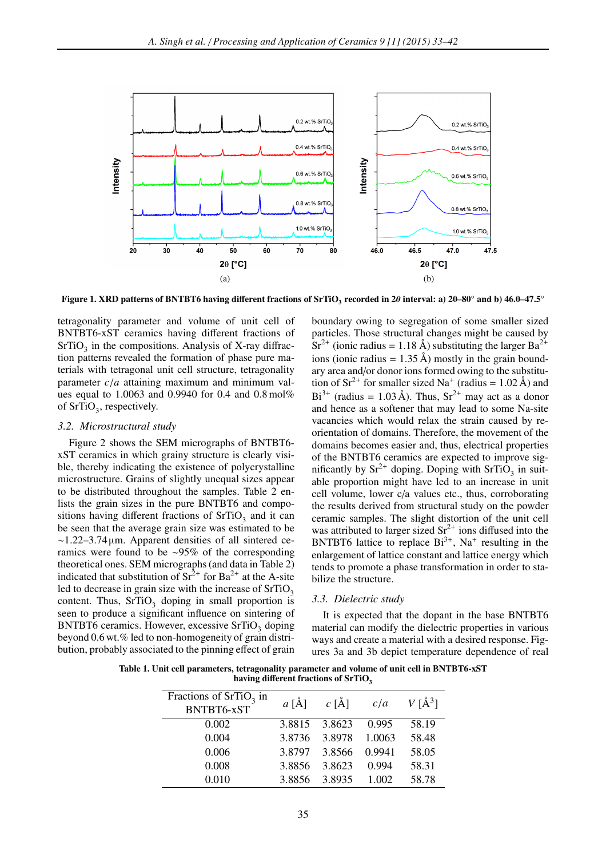

Figure 1. XRD patterns of BNTBT6 having different fractions of SrTiO<sub>3</sub> recorded in 2 $\theta$  interval: a) 20–80° and b) 46.0–47.5°

tetragonality parameter and volume of unit cell of BNTBT6-xST ceramics having different fractions of  $SrTiO<sub>3</sub>$  in the compositions. Analysis of X-ray diffraction patterns revealed the formation of phase pure materials with tetragonal unit cell structure, tetragonality parameter *c*/*a* attaining maximum and minimum values equal to 1.0063 and 0.9940 for 0.4 and 0.8 mol% of  $SrTiO<sub>3</sub>$ , respectively.

#### *3.2. Microstructural study*

Figure 2 shows the SEM micrographs of BNTBT6 xST ceramics in which grainy structure is clearly visible, thereby indicating the existence of polycrystalline microstructure. Grains of slightly unequal sizes appear to be distributed throughout the samples. Table 2 enlists the grain sizes in the pure BNTBT6 and compositions having different fractions of  $SrTiO<sub>3</sub>$  and it can be seen that the average grain size was estimated to be ∼1.22–3.74 µm. Apparent densities of all sintered ceramics were found to be ∼95% of the corresponding theoretical ones. SEM micrographs (and data in Table 2) indicated that substitution of  $Sr^{2+}$  for  $Ba^{2+}$  at the A-site led to decrease in grain size with the increase of  $SrTiO<sub>2</sub>$ content. Thus,  $SrTiO<sub>3</sub>$  doping in small proportion is seen to produce a significant influence on sintering of BNTBT6 ceramics. However, excessive  $SrTiO<sub>3</sub>$  doping beyond 0.6 wt.% led to non-homogeneity of grain distribution, probably associated to the pinning effect of grain boundary owing to segregation of some smaller sized particles. Those structural changes might be caused by  $Sr^{2+}$  (ionic radius = 1.18 Å) substituting the larger Ba<sup>2+</sup> ions (ionic radius =  $1.35 \text{ Å}$ ) mostly in the grain boundary area and/or donor ions formed owing to the substitution of  $Sr^{2+}$  for smaller sized Na<sup>+</sup> (radius = 1.02 Å) and  $Bi^{3+}$  (radius = 1.03 Å). Thus,  $Sr^{2+}$  may act as a donor and hence as a softener that may lead to some Na-site vacancies which would relax the strain caused by reorientation of domains. Therefore, the movement of the domains becomes easier and, thus, electrical properties of the BNTBT6 ceramics are expected to improve significantly by  $\text{Sr}^{2+}$  doping. Doping with  $\text{SrTiO}_3$  in suitable proportion might have led to an increase in unit cell volume, lower c/a values etc., thus, corroborating the results derived from structural study on the powder ceramic samples. The slight distortion of the unit cell was attributed to larger sized  $\text{Sr}^{2+}$  ions diffused into the BNTBT6 lattice to replace  $Bi^{3+}$ , Na<sup>+</sup> resulting in the enlargement of lattice constant and lattice energy which tends to promote a phase transformation in order to stabilize the structure.

#### *3.3. Dielectric study*

It is expected that the dopant in the base BNTBT6 material can modify the dielectric properties in various ways and create a material with a desired response. Figures 3a and 3b depict temperature dependence of real

Table 1. Unit cell parameters, tetragonality parameter and volume of unit cell in BNTBT6-xST having different fractions of SrTiO<sub>3</sub>

| Fractions of $SrTiO3$ in<br>BNTBT6-xST | $a \hat{[A]}$ | $c \text{ [Å]}$ | c/a    | $V[\AA^3]$ |
|----------------------------------------|---------------|-----------------|--------|------------|
| 0.002                                  | 3.8815        | 3.8623          | 0.995  | 58.19      |
| 0.004                                  | 3.8736        | 3.8978          | 1.0063 | 58.48      |
| 0.006                                  | 3.8797        | 3.8566          | 0.9941 | 58.05      |
| 0.008                                  | 3.8856        | 3.8623          | 0.994  | 58.31      |
| 0.010                                  | 3.8856        | 3.8935          | 1.002  | 58.78      |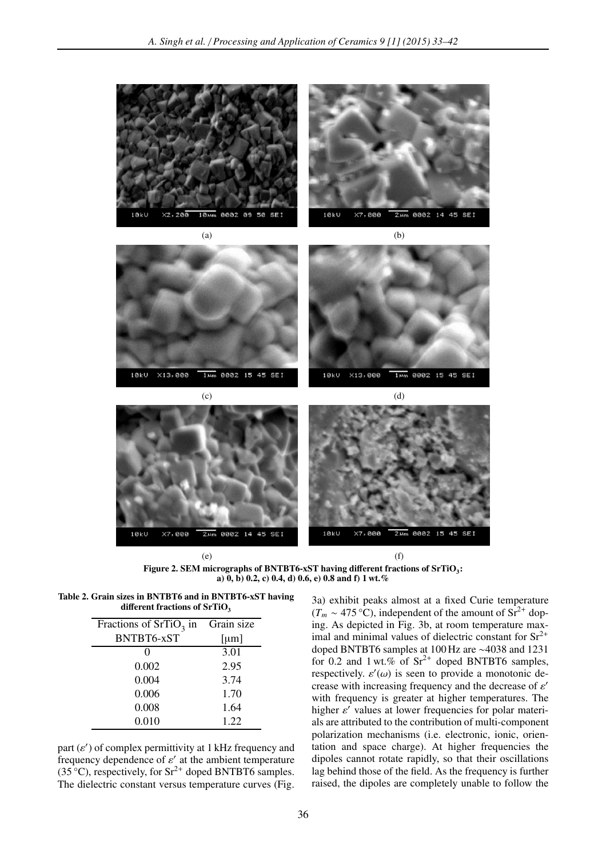

Figure 2. SEM micrographs of BNTBT6-xST having different fractions of  $SrTiO<sub>3</sub>$ : a)  $(0, b)$  0.2, c) 0.4, d) 0.6, e) 0.8 and f) 1 wt. %

Table 2. Grain sizes in BNTBT6 and in BNTBT6-xST having different fractions of  $SrTiO<sub>3</sub>$ 

| Fractions of $SrTiO3$ in | Grain size |
|--------------------------|------------|
| BNTBT6-xST               | [µm]       |
| $\mathbf{\Omega}$        | 3.01       |
| 0.002                    | 2.95       |
| 0.004                    | 3.74       |
| 0.006                    | 1.70       |
| 0.008                    | 1.64       |
| 0.010                    | 1.22       |

part  $(\varepsilon')$  of complex permittivity at 1 kHz frequency and frequency dependence of  $\varepsilon'$  at the ambient temperature  $(35^{\circ}C)$ , respectively, for Sr<sup>2+</sup> doped BNTBT6 samples. The dielectric constant versus temperature curves (Fig. 3a) exhibit peaks almost at a fixed Curie temperature  $(T_m \sim 475 \,^{\circ}\text{C})$ , independent of the amount of Sr<sup>2+</sup> doping. As depicted in Fig. 3b, at room temperature maximal and minimal values of dielectric constant for  $Sr^{2+}$ doped BNTBT6 samples at 100 Hz are ∼4038 and 1231 for 0.2 and 1 wt.% of  $Sr^{2+}$  doped BNTBT6 samples, respectively.  $\varepsilon'(\omega)$  is seen to provide a monotonic decrease with increasing frequency and the decrease of  $\varepsilon'$ with frequency is greater at higher temperatures. The higher ε' values at lower frequencies for polar materials are attributed to the contribution of multi-component polarization mechanisms (i.e. electronic, ionic, orientation and space charge). At higher frequencies the dipoles cannot rotate rapidly, so that their oscillations lag behind those of the field. As the frequency is further raised, the dipoles are completely unable to follow the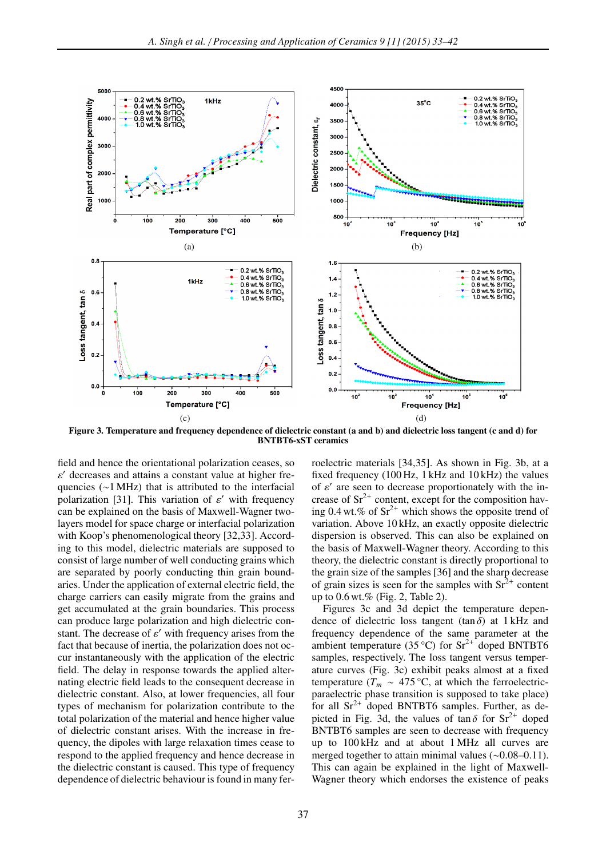

Figure 3. Temperature and frequency dependence of dielectric constant (a and b) and dielectric loss tangent (c and d) for BNTBT6-xST ceramics

field and hence the orientational polarization ceases, so  $\varepsilon'$  decreases and attains a constant value at higher frequencies (∼1 MHz) that is attributed to the interfacial polarization [31]. This variation of  $\varepsilon'$  with frequency can be explained on the basis of Maxwell-Wagner twolayers model for space charge or interfacial polarization with Koop's phenomenological theory [32,33]. According to this model, dielectric materials are supposed to consist of large number of well conducting grains which are separated by poorly conducting thin grain boundaries. Under the application of external electric field, the charge carriers can easily migrate from the grains and get accumulated at the grain boundaries. This process can produce large polarization and high dielectric constant. The decrease of  $\varepsilon'$  with frequency arises from the fact that because of inertia, the polarization does not occur instantaneously with the application of the electric field. The delay in response towards the applied alternating electric field leads to the consequent decrease in dielectric constant. Also, at lower frequencies, all four types of mechanism for polarization contribute to the total polarization of the material and hence higher value of dielectric constant arises. With the increase in frequency, the dipoles with large relaxation times cease to respond to the applied frequency and hence decrease in the dielectric constant is caused. This type of frequency dependence of dielectric behaviour is found in many ferroelectric materials [34,35]. As shown in Fig. 3b, at a fixed frequency (100 Hz, 1 kHz and 10 kHz) the values of  $\varepsilon'$  are seen to decrease proportionately with the increase of  $Sr^{2+}$  content, except for the composition having 0.4 wt.% of  $Sr^{2+}$  which shows the opposite trend of variation. Above 10 kHz, an exactly opposite dielectric dispersion is observed. This can also be explained on the basis of Maxwell-Wagner theory. According to this theory, the dielectric constant is directly proportional to the grain size of the samples [36] and the sharp decrease of grain sizes is seen for the samples with  $Sr^{2+}$  content up to 0.6 wt.% (Fig. 2, Table 2).

Figures 3c and 3d depict the temperature dependence of dielectric loss tangent (tan  $\delta$ ) at 1 kHz and frequency dependence of the same parameter at the ambient temperature (35 °C) for  $Sr^{2+}$  doped BNTBT6 samples, respectively. The loss tangent versus temperature curves (Fig. 3c) exhibit peaks almost at a fixed temperature ( $T_m \sim 475$  °C, at which the ferroelectricparaelectric phase transition is supposed to take place) for all  $Sr^{2+}$  doped BNTBT6 samples. Further, as depicted in Fig. 3d, the values of  $\tan \delta$  for  $\text{Sr}^{2+}$  doped BNTBT6 samples are seen to decrease with frequency up to 100 kHz and at about 1 MHz all curves are merged together to attain minimal values (∼0.08–0.11). This can again be explained in the light of Maxwell-Wagner theory which endorses the existence of peaks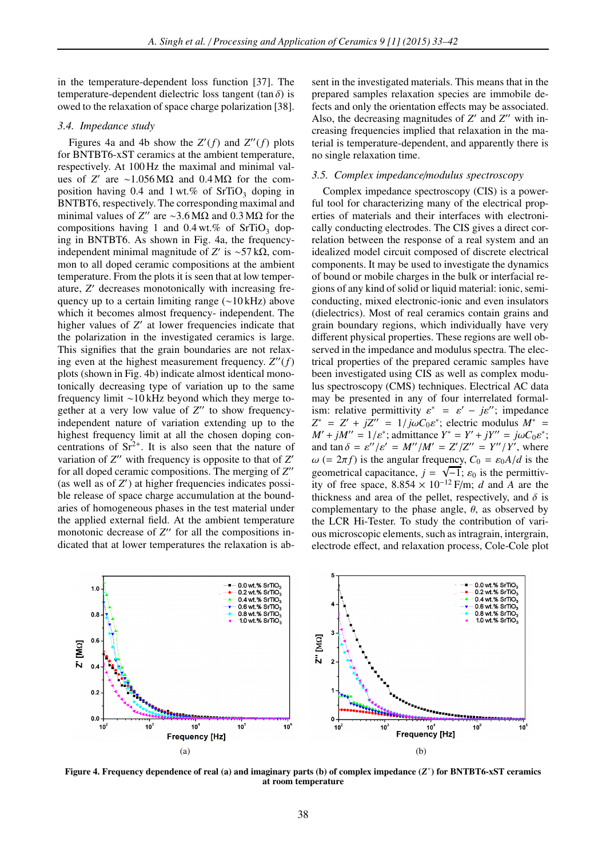in the temperature-dependent loss function [37]. The temperature-dependent dielectric loss tangent (tan  $\delta$ ) is owed to the relaxation of space charge polarization [38].

#### *3.4. Impedance study*

Figures 4a and 4b show the  $Z'(f)$  and  $Z''(f)$  plots for BNTBT6-xST ceramics at the ambient temperature, respectively. At 100 Hz the maximal and minimal values of *Z'* are ∼1.056 MΩ and 0.4 MΩ for the composition having 0.4 and  $1 \text{ wt.} \%$  of  $SrTiO<sub>3</sub>$  doping in BNTBT6, respectively. The corresponding maximal and minimal values of *Z*<sup>"</sup> are ~3.6 MΩ and 0.3 MΩ for the compositions having 1 and  $0.4$  wt.% of SrTiO<sub>3</sub> doping in BNTBT6. As shown in Fig. 4a, the frequencyindependent minimal magnitude of *Z'* is ~57 kΩ, common to all doped ceramic compositions at the ambient temperature. From the plots it is seen that at low temperature, *Z'* decreases monotonically with increasing frequency up to a certain limiting range (∼10 kHz) above which it becomes almost frequency- independent. The higher values of Z' at lower frequencies indicate that the polarization in the investigated ceramics is large. This signifies that the grain boundaries are not relaxing even at the highest measurement frequency. *Z* ′′(*f*) plots (shown in Fig. 4b) indicate almost identical monotonically decreasing type of variation up to the same frequency limit ∼10 kHz beyond which they merge together at a very low value of Z" to show frequencyindependent nature of variation extending up to the highest frequency limit at all the chosen doping concentrations of  $Sr^{2+}$ . It is also seen that the nature of variation of Z" with frequency is opposite to that of Z' for all doped ceramic compositions. The merging of *Z* ′′ (as well as of *Z'*) at higher frequencies indicates possible release of space charge accumulation at the boundaries of homogeneous phases in the test material under the applied external field. At the ambient temperature monotonic decrease of Z" for all the compositions indicated that at lower temperatures the relaxation is absent in the investigated materials. This means that in the prepared samples relaxation species are immobile defects and only the orientation effects may be associated. Also, the decreasing magnitudes of Z' and Z'' with increasing frequencies implied that relaxation in the material is temperature-dependent, and apparently there is no single relaxation time.

#### *3.5. Complex impedance*/*modulus spectroscopy*

Complex impedance spectroscopy (CIS) is a powerful tool for characterizing many of the electrical properties of materials and their interfaces with electronically conducting electrodes. The CIS gives a direct correlation between the response of a real system and an idealized model circuit composed of discrete electrical components. It may be used to investigate the dynamics of bound or mobile charges in the bulk or interfacial regions of any kind of solid or liquid material: ionic, semiconducting, mixed electronic-ionic and even insulators (dielectrics). Most of real ceramics contain grains and grain boundary regions, which individually have very different physical properties. These regions are well observed in the impedance and modulus spectra. The electrical properties of the prepared ceramic samples have been investigated using CIS as well as complex modulus spectroscopy (CMS) techniques. Electrical AC data may be presented in any of four interrelated formalism: relative permittivity  $\varepsilon^* = \varepsilon' - j\varepsilon''$ ; impedance  $Z^* = Z' + jZ'' = 1/j\omega C_0 \varepsilon^*$ ; electric modulus  $M^* =$  $M' + jM'' = 1/\varepsilon^*$ ; admittance  $Y^* = Y' + jY'' = j\omega C_0 \varepsilon^*$ ; and  $\tan \delta = \varepsilon''/\varepsilon' = M''/M' = Z'/Z'' = Y''/Y'$ , where  $\omega$  (=  $2\pi f$ ) is the angular frequency,  $C_0 = \varepsilon_0 A/d$  is the geometrical capacitance,  $j = \sqrt{-1}$ ;  $\varepsilon_0$  is the permittivity of free space,  $8.854 \times 10^{-12}$  F/m; *d* and *A* are the thickness and area of the pellet, respectively, and  $\delta$  is complementary to the phase angle,  $\theta$ , as observed by the LCR Hi-Tester. To study the contribution of various microscopic elements, such as intragrain, intergrain, electrode effect, and relaxation process, Cole-Cole plot



Figure 4. Frequency dependence of real (a) and imaginary parts (b) of complex impedance (*Z* ∗ ) for BNTBT6-xST ceramics at room temperature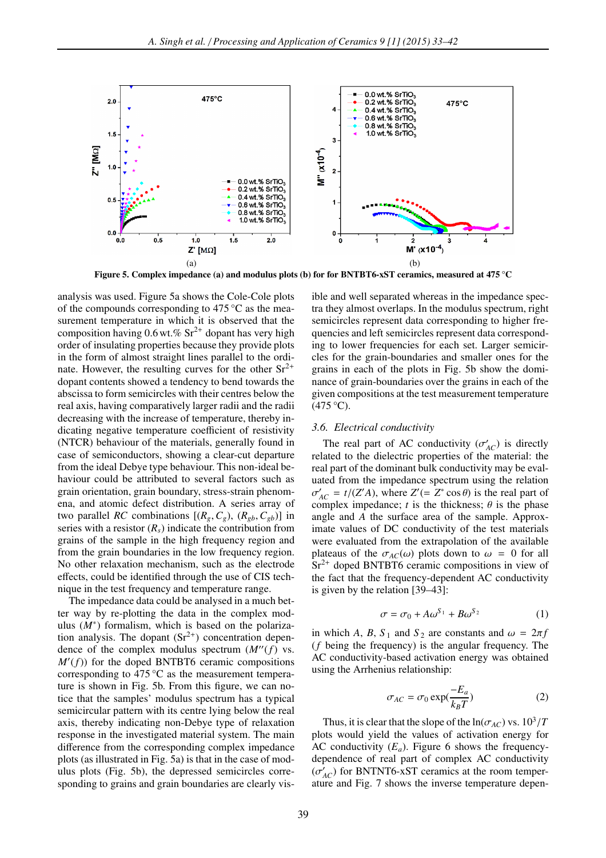

Figure 5. Complex impedance (a) and modulus plots (b) for for BNTBT6-xST ceramics, measured at 475 °C

analysis was used. Figure 5a shows the Cole-Cole plots of the compounds corresponding to  $475^{\circ}$ C as the measurement temperature in which it is observed that the composition having  $0.6$  wt.%  $\text{Sr}^{2+}$  dopant has very high order of insulating properties because they provide plots in the form of almost straight lines parallel to the ordinate. However, the resulting curves for the other  $Sr^{2+}$ dopant contents showed a tendency to bend towards the abscissa to form semicircles with their centres below the real axis, having comparatively larger radii and the radii decreasing with the increase of temperature, thereby indicating negative temperature coefficient of resistivity (NTCR) behaviour of the materials, generally found in case of semiconductors, showing a clear-cut departure from the ideal Debye type behaviour. This non-ideal behaviour could be attributed to several factors such as grain orientation, grain boundary, stress-strain phenomena, and atomic defect distribution. A series array of two parallel *RC* combinations  $[(R_g, C_g), (R_{gb}, C_{gb})]$  in series with a resistor  $(R<sub>s</sub>)$  indicate the contribution from grains of the sample in the high frequency region and from the grain boundaries in the low frequency region. No other relaxation mechanism, such as the electrode effects, could be identified through the use of CIS technique in the test frequency and temperature range.

The impedance data could be analysed in a much better way by re-plotting the data in the complex modulus  $(M^*)$  formalism, which is based on the polarization analysis. The dopant  $(Sr^{2+})$  concentration dependence of the complex modulus spectrum  $(M''(f))$  vs. *M*′ (*f*)) for the doped BNTBT6 ceramic compositions corresponding to  $475^{\circ}$ C as the measurement temperature is shown in Fig. 5b. From this figure, we can notice that the samples' modulus spectrum has a typical semicircular pattern with its centre lying below the real axis, thereby indicating non-Debye type of relaxation response in the investigated material system. The main difference from the corresponding complex impedance plots (as illustrated in Fig. 5a) is that in the case of modulus plots (Fig. 5b), the depressed semicircles corresponding to grains and grain boundaries are clearly visible and well separated whereas in the impedance spectra they almost overlaps. In the modulus spectrum, right semicircles represent data corresponding to higher frequencies and left semicircles represent data corresponding to lower frequencies for each set. Larger semicircles for the grain-boundaries and smaller ones for the grains in each of the plots in Fig. 5b show the dominance of grain-boundaries over the grains in each of the given compositions at the test measurement temperature  $(475 °C)$ .

## *3.6. Electrical conductivity*

The real part of AC conductivity  $(\sigma'_{AC})$  is directly related to the dielectric properties of the material: the real part of the dominant bulk conductivity may be evaluated from the impedance spectrum using the relation  $\sigma'_{AC} = t/(Z'A)$ , where  $Z' (= Z^* \cos \theta)$  is the real part of complex impedance;  $t$  is the thickness;  $\theta$  is the phase angle and *A* the surface area of the sample. Approximate values of DC conductivity of the test materials were evaluated from the extrapolation of the available plateaus of the  $\sigma_{AC}(\omega)$  plots down to  $\omega = 0$  for all  $Sr<sup>2+</sup>$  doped BNTBT6 ceramic compositions in view of the fact that the frequency-dependent AC conductivity is given by the relation [39–43]:

$$
\sigma = \sigma_0 + A\omega^{S_1} + B\omega^{S_2} \tag{1}
$$

in which *A*, *B*,  $S_1$  and  $S_2$  are constants and  $\omega = 2\pi f$ (*f* being the frequency) is the angular frequency. The AC conductivity-based activation energy was obtained using the Arrhenius relationship:

$$
\sigma_{AC} = \sigma_0 \exp(\frac{-E_a}{k_B T})
$$
 (2)

Thus, it is clear that the slope of the  $ln(\sigma_{AC})$  vs.  $10^3/T$ plots would yield the values of activation energy for AC conductivity  $(E_a)$ . Figure 6 shows the frequencydependence of real part of complex AC conductivity  $(\sigma'_{AC})$  for BNTNT6-xST ceramics at the room temperature and Fig. 7 shows the inverse temperature depen-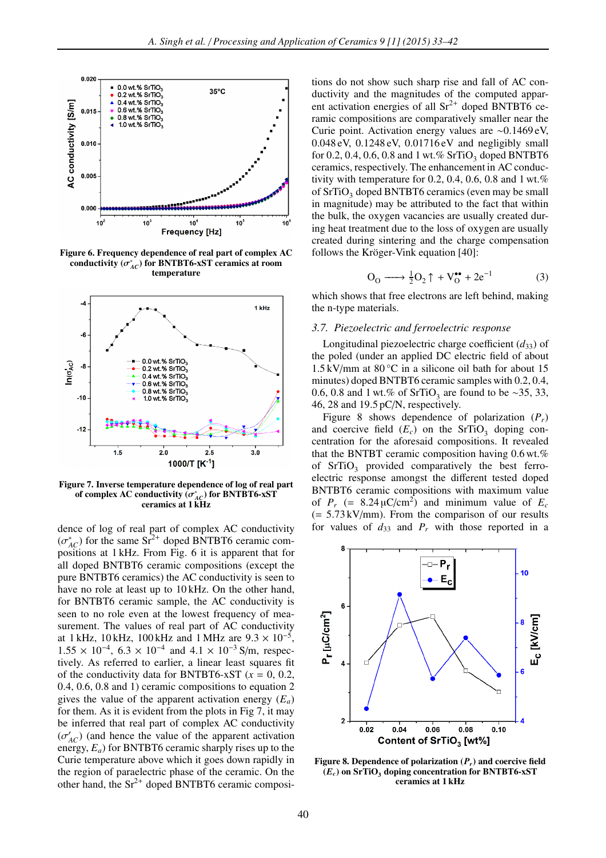

Figure 6. Frequency dependence of real part of complex AC conductivity  $(\sigma_{AC}^*)$  for BNTBT6-xST ceramics at room temperature



Figure 7. Inverse temperature dependence of log of real part of complex AC conductivity  $\overline{(\sigma_{AC}^*)}$  for BNTBT6-xST ceramics at 1 kHz

dence of log of real part of complex AC conductivity  $(\sigma_{AC}^*)$  for the same Sr<sup>2+</sup> doped BNTBT6 ceramic compositions at 1 kHz. From Fig. 6 it is apparent that for all doped BNTBT6 ceramic compositions (except the pure BNTBT6 ceramics) the AC conductivity is seen to have no role at least up to 10 kHz. On the other hand, for BNTBT6 ceramic sample, the AC conductivity is seen to no role even at the lowest frequency of measurement. The values of real part of AC conductivity at 1 kHz,  $10 \text{ kHz}$ ,  $100 \text{ kHz}$  and  $1 \text{ MHz}$  are  $9.3 \times 10^{-5}$ ,  $1.55 \times 10^{-4}$ ,  $6.3 \times 10^{-4}$  and  $4.1 \times 10^{-3}$  S/m, respectively. As referred to earlier, a linear least squares fit of the conductivity data for BNTBT6-xST  $(x = 0, 0.2, ...)$ 0.4, 0.6, 0.8 and 1) ceramic compositions to equation 2 gives the value of the apparent activation energy  $(E_a)$ for them. As it is evident from the plots in Fig 7, it may be inferred that real part of complex AC conductivity  $(\sigma'_{AC})$  (and hence the value of the apparent activation energy, *Ea*) for BNTBT6 ceramic sharply rises up to the Curie temperature above which it goes down rapidly in the region of paraelectric phase of the ceramic. On the other hand, the  $Sr^{2+}$  doped BNTBT6 ceramic compositions do not show such sharp rise and fall of AC conductivity and the magnitudes of the computed apparent activation energies of all  $Sr^{2+}$  doped BNTBT6 ceramic compositions are comparatively smaller near the Curie point. Activation energy values are ∼0.1469 eV, 0.048 eV, 0.1248 eV, 0.01716 eV and negligibly small for 0.2, 0.4, 0.6, 0.8 and 1 wt.%  $SrTiO<sub>3</sub>$  doped BNTBT6 ceramics, respectively. The enhancement in AC conductivity with temperature for 0.2, 0.4, 0.6, 0.8 and  $1 \text{ wt.} %$ of  $SrTiO<sub>3</sub>$  doped BNTBT6 ceramics (even may be small in magnitude) may be attributed to the fact that within the bulk, the oxygen vacancies are usually created during heat treatment due to the loss of oxygen are usually created during sintering and the charge compensation follows the Kröger-Vink equation [40]:

$$
O_0 \longrightarrow \frac{1}{2}O_2 \uparrow + V_0^{\bullet \bullet} + 2e^{-1} \tag{3}
$$

which shows that free electrons are left behind, making the n-type materials.

#### *3.7. Piezoelectric and ferroelectric response*

Longitudinal piezoelectric charge coefficient  $(d_{33})$  of the poled (under an applied DC electric field of about  $1.5 \text{ kV/mm}$  at 80 °C in a silicone oil bath for about 15 minutes) doped BNTBT6 ceramic samples with 0.2, 0.4, 0.6, 0.8 and 1 wt.% of SrTiO<sub>3</sub> are found to be ∼35, 33, 46, 28 and 19.5 pC/N, respectively.

Figure 8 shows dependence of polarization  $(P_r)$ and coercive field  $(E_c)$  on the SrTiO<sub>3</sub> doping concentration for the aforesaid compositions. It revealed that the BNTBT ceramic composition having 0.6 wt.% of  $SrTiO<sub>3</sub>$  provided comparatively the best ferroelectric response amongst the different tested doped BNTBT6 ceramic compositions with maximum value of  $P_r$  (= 8.24  $\mu$ C/cm<sup>2</sup>) and minimum value of  $E_c$  $(= 5.73 \text{ kV/mm})$ . From the comparison of our results for values of  $d_{33}$  and  $P_r$  with those reported in a



Figure 8. Dependence of polarization (*Pr*) and coercive field  $(E_c)$  on SrTiO<sub>3</sub> doping concentration for BNTBT6-xST ceramics at 1 kHz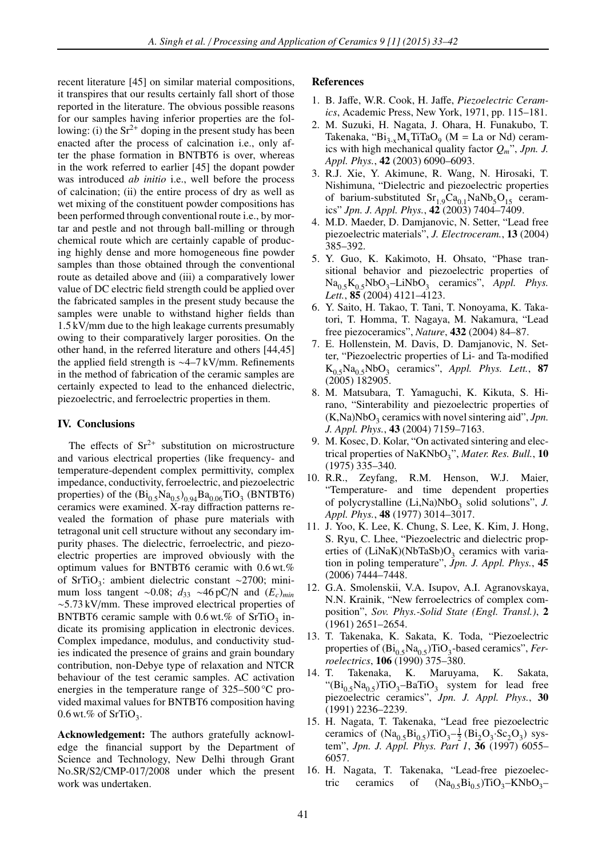recent literature [45] on similar material compositions, it transpires that our results certainly fall short of those reported in the literature. The obvious possible reasons for our samples having inferior properties are the following: (i) the  $Sr^{2+}$  doping in the present study has been enacted after the process of calcination i.e., only after the phase formation in BNTBT6 is over, whereas in the work referred to earlier [45] the dopant powder was introduced *ab initio* i.e., well before the process of calcination; (ii) the entire process of dry as well as wet mixing of the constituent powder compositions has been performed through conventional route i.e., by mortar and pestle and not through ball-milling or through chemical route which are certainly capable of producing highly dense and more homogeneous fine powder samples than those obtained through the conventional route as detailed above and (iii) a comparatively lower value of DC electric field strength could be applied over the fabricated samples in the present study because the samples were unable to withstand higher fields than 1.5 kV/mm due to the high leakage currents presumably owing to their comparatively larger porosities. On the other hand, in the referred literature and others [44,45] the applied field strength is ∼4–7 kV/mm. Refinements in the method of fabrication of the ceramic samples are certainly expected to lead to the enhanced dielectric, piezoelectric, and ferroelectric properties in them.

# IV. Conclusions

The effects of  $Sr^{2+}$  substitution on microstructure and various electrical properties (like frequency- and temperature-dependent complex permittivity, complex impedance, conductivity, ferroelectric, and piezoelectric properties) of the  $(Bi_{0.5}Na_{0.5})_{0.94}Ba_{0.06}TiO_3$  (BNTBT6) ceramics were examined. X-ray diffraction patterns revealed the formation of phase pure materials with tetragonal unit cell structure without any secondary impurity phases. The dielectric, ferroelectric, and piezoelectric properties are improved obviously with the optimum values for BNTBT6 ceramic with 0.6 wt.% of SrTiO<sub>3</sub>: ambient dielectric constant ∼2700; minimum loss tangent ~0.08; *d*<sub>33</sub> ~46 pC/N and (*E*<sub>*c*</sub>)<sub>*min*</sub> ∼5.73 kV/mm. These improved electrical properties of BNTBT6 ceramic sample with  $0.6$  wt.% of SrTiO<sub>3</sub> indicate its promising application in electronic devices. Complex impedance, modulus, and conductivity studies indicated the presence of grains and grain boundary contribution, non-Debye type of relaxation and NTCR behaviour of the test ceramic samples. AC activation energies in the temperature range of 325–500 °C provided maximal values for BNTBT6 composition having 0.6 wt.% of  $SrTiO<sub>3</sub>$ .

Acknowledgement: The authors gratefully acknowledge the financial support by the Department of Science and Technology, New Delhi through Grant No.SR/S2/CMP-017/2008 under which the present work was undertaken.

# References

- 1. B. Jaffe, W.R. Cook, H. Jaffe, *Piezoelectric Ceramics*, Academic Press, New York, 1971, pp. 115–181.
- 2. M. Suzuki, H. Nagata, J. Ohara, H. Funakubo, T. Takenaka, " $Bi_{3-x}M_xTiTaO_9$  (M = La or Nd) ceramics with high mechanical quality factor *Qm*", *Jpn. J. Appl. Phys.*, 42 (2003) 6090–6093.
- 3. R.J. Xie, Y. Akimune, R. Wang, N. Hirosaki, T. Nishimuna, "Dielectric and piezoelectric properties of barium-substituted  $Sr<sub>1.9</sub>Ca<sub>0.1</sub>NaNb<sub>5</sub>O<sub>15</sub> ceram$ ics" *Jpn. J. Appl. Phys.*, 42 (2003) 7404–7409.
- 4. M.D. Maeder, D. Damjanovic, N. Setter, "Lead free piezoelectric materials", *J. Electroceram.*, 13 (2004) 385–392.
- 5. Y. Guo, K. Kakimoto, H. Ohsato, "Phase transitional behavior and piezoelectric properties of  $Na_{0.5}K_{0.5}NbO_3$ -LiNbO<sub>3</sub> ceramics", *Appl. Phys. Lett.*, 85 (2004) 4121–4123.
- 6. Y. Saito, H. Takao, T. Tani, T. Nonoyama, K. Takatori, T. Homma, T. Nagaya, M. Nakamura, "Lead free piezoceramics", *Nature*, 432 (2004) 84–87.
- 7. E. Hollenstein, M. Davis, D. Damjanovic, N. Setter, "Piezoelectric properties of Li- and Ta-modified  $K_{0.5}Na_{0.5}NbO_3$  ceramics", *Appl. Phys. Lett.*, **87** (2005) 182905.
- 8. M. Matsubara, T. Yamaguchi, K. Kikuta, S. Hirano, "Sinterability and piezoelectric properties of  $(K, Na)NbO<sub>3</sub>$  ceramics with novel sintering aid", *Jpn. J. Appl. Phys.*, 43 (2004) 7159–7163.
- 9. M. Kosec, D. Kolar, "On activated sintering and electrical properties of NaKNbO<sub>3</sub>", *Mater. Res. Bull.*, **10** (1975) 335–340.
- 10. R.R., Zeyfang, R.M. Henson, W.J. Maier, "Temperature- and time dependent properties of polycrystalline (Li,Na)NbO<sub>3</sub> solid solutions", *J. Appl. Phys.*, 48 (1977) 3014–3017.
- 11. J. Yoo, K. Lee, K. Chung, S. Lee, K. Kim, J. Hong, S. Ryu, C. Lhee, "Piezoelectric and dielectric properties of  $(LiNaK)(NbTaSb)O_3$  ceramics with variation in poling temperature", *Jpn. J. Appl. Phys.*, 45 (2006) 7444–7448.
- 12. G.A. Smolenskii, V.A. Isupov, A.I. Agranovskaya, N.N. Krainik, "New ferroelectrics of complex composition", *Sov. Phys.-Solid State (Engl. Transl.)*, 2 (1961) 2651–2654.
- 13. T. Takenaka, K. Sakata, K. Toda, "Piezoelectric properties of  $(Bi_{0.5}Na_{0.5})TiO_3$ -based ceramics", *Ferroelectrics*, 106 (1990) 375–380.
- 14. T. Takenaka, K. Maruyama, K. Sakata, " $(Bi_{0.5}Na_{0.5})TiO_3-BaTiO_3$  system for lead free piezoelectric ceramics", *Jpn. J. Appl. Phys.*, 30 (1991) 2236–2239.
- 15. H. Nagata, T. Takenaka, "Lead free piezoelectric ceramics of  $(Na_{0.5}Bi_{0.5})TiO_3 - \frac{1}{2} (Bi_2O_3 Sc_2O_3)$  system", *Jpn. J. Appl. Phys. Part 1*, 36 (1997) 6055– 6057.
- 16. H. Nagata, T. Takenaka, "Lead-free piezoelectric ceramics of  $(Na_{0.5}Bi_{0.5})TiO_3-KNbO_3$ –